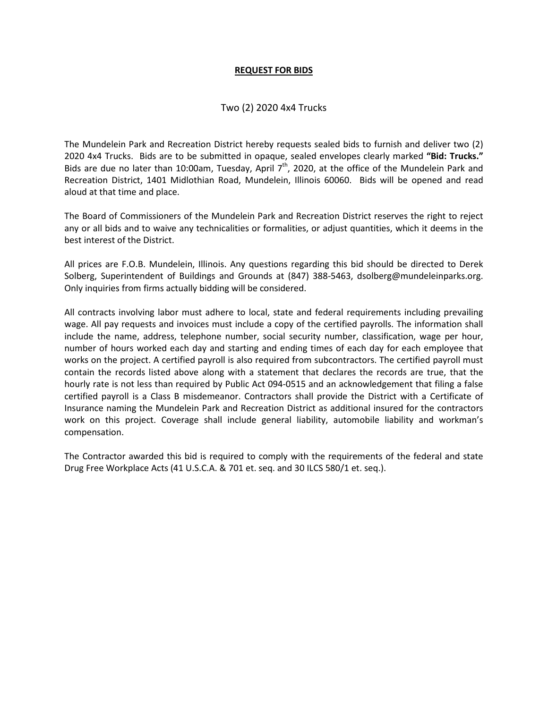#### **REQUEST FOR BIDS**

# Two (2) 2020 4x4 Trucks

The Mundelein Park and Recreation District hereby requests sealed bids to furnish and deliver two (2) 2020 4x4 Trucks. Bids are to be submitted in opaque, sealed envelopes clearly marked **"Bid: Trucks."** Bids are due no later than 10:00am, Tuesday, April  $7<sup>th</sup>$ , 2020, at the office of the Mundelein Park and Recreation District, 1401 Midlothian Road, Mundelein, Illinois 60060. Bids will be opened and read aloud at that time and place.

The Board of Commissioners of the Mundelein Park and Recreation District reserves the right to reject any or all bids and to waive any technicalities or formalities, or adjust quantities, which it deems in the best interest of the District.

All prices are F.O.B. Mundelein, Illinois. Any questions regarding this bid should be directed to Derek Solberg, Superintendent of Buildings and Grounds at (847) 388-5463, dsolberg@mundeleinparks.org. Only inquiries from firms actually bidding will be considered.

All contracts involving labor must adhere to local, state and federal requirements including prevailing wage. All pay requests and invoices must include a copy of the certified payrolls. The information shall include the name, address, telephone number, social security number, classification, wage per hour, number of hours worked each day and starting and ending times of each day for each employee that works on the project. A certified payroll is also required from subcontractors. The certified payroll must contain the records listed above along with a statement that declares the records are true, that the hourly rate is not less than required by Public Act 094-0515 and an acknowledgement that filing a false certified payroll is a Class B misdemeanor. Contractors shall provide the District with a Certificate of Insurance naming the Mundelein Park and Recreation District as additional insured for the contractors work on this project. Coverage shall include general liability, automobile liability and workman's compensation.

The Contractor awarded this bid is required to comply with the requirements of the federal and state Drug Free Workplace Acts (41 U.S.C.A. & 701 et. seq. and 30 ILCS 580/1 et. seq.).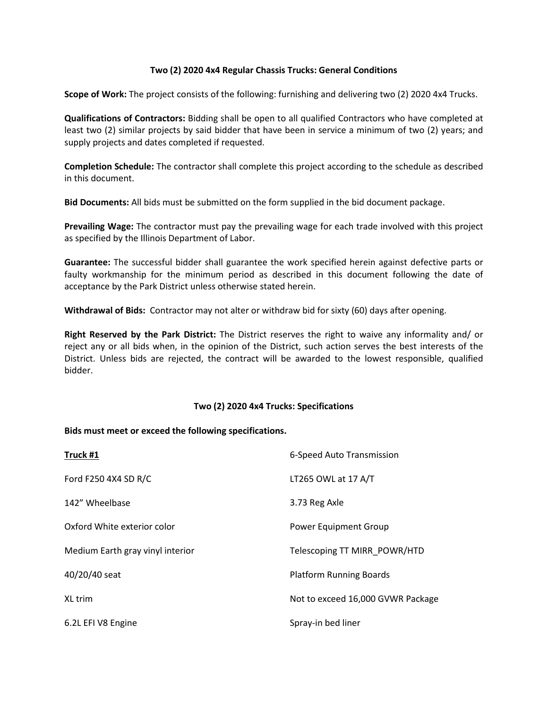### **Two (2) 2020 4x4 Regular Chassis Trucks: General Conditions**

**Scope of Work:** The project consists of the following: furnishing and delivering two (2) 2020 4x4 Trucks.

**Qualifications of Contractors:** Bidding shall be open to all qualified Contractors who have completed at least two (2) similar projects by said bidder that have been in service a minimum of two (2) years; and supply projects and dates completed if requested.

**Completion Schedule:** The contractor shall complete this project according to the schedule as described in this document.

**Bid Documents:** All bids must be submitted on the form supplied in the bid document package.

**Prevailing Wage:** The contractor must pay the prevailing wage for each trade involved with this project as specified by the Illinois Department of Labor.

**Guarantee:** The successful bidder shall guarantee the work specified herein against defective parts or faulty workmanship for the minimum period as described in this document following the date of acceptance by the Park District unless otherwise stated herein.

**Withdrawal of Bids:** Contractor may not alter or withdraw bid for sixty (60) days after opening.

**Right Reserved by the Park District:** The District reserves the right to waive any informality and/ or reject any or all bids when, in the opinion of the District, such action serves the best interests of the District. Unless bids are rejected, the contract will be awarded to the lowest responsible, qualified bidder.

#### **Two (2) 2020 4x4 Trucks: Specifications**

#### **Bids must meet or exceed the following specifications.**

| Truck #1                         | 6-Speed Auto Transmission         |
|----------------------------------|-----------------------------------|
| Ford F250 4X4 SD R/C             | LT265 OWL at 17 A/T               |
| 142" Wheelbase                   | 3.73 Reg Axle                     |
| Oxford White exterior color      | <b>Power Equipment Group</b>      |
| Medium Earth gray vinyl interior | Telescoping TT MIRR POWR/HTD      |
| 40/20/40 seat                    | <b>Platform Running Boards</b>    |
| XL trim                          | Not to exceed 16,000 GVWR Package |
| 6.2L EFI V8 Engine               | Spray-in bed liner                |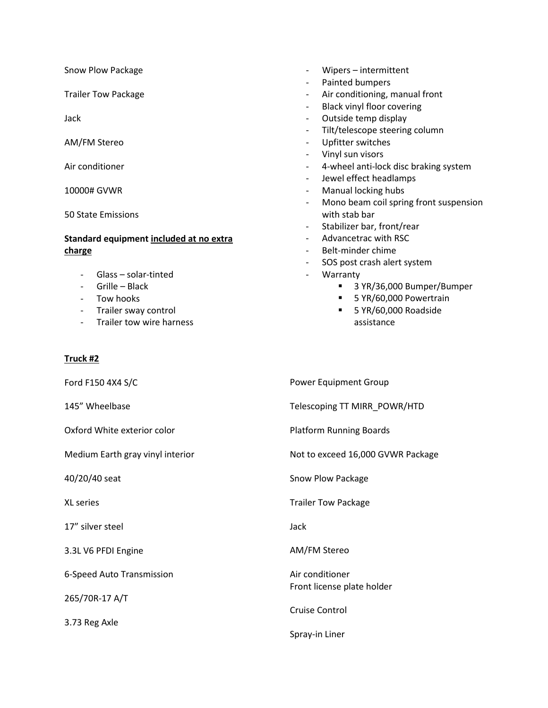Snow Plow Package

Trailer Tow Package

Jack

AM/FM Stereo

Air conditioner

10000# GVWR

50 State Emissions

### **Standard equipment included at no extra charge**

- Glass solar-tinted
- Grille Black
- Tow hooks
- Trailer sway control
- Trailer tow wire harness

# **Truck #2**

Ford F150 4X4 S/C

145" Wheelbase

Oxford White exterior color

Medium Earth gray vinyl interior

40/20/40 seat

XL series

17" silver steel

3.3L V6 PFDI Engine

6-Speed Auto Transmission

265/70R-17 A/T

3.73 Reg Axle

- Wipers intermittent
- Painted bumpers
- Air conditioning, manual front
- Black vinyl floor covering
- Outside temp display
- Tilt/telescope steering column
- Upfitter switches
- Vinyl sun visors
- 4-wheel anti-lock disc braking system
- Jewel effect headlamps
- Manual locking hubs
- Mono beam coil spring front suspension with stab bar
- Stabilizer bar, front/rear
- Advancetrac with RSC
- Belt-minder chime
- SOS post crash alert system
- **Warranty** 
	- 3 YR/36,000 Bumper/Bumper
	- 5 YR/60,000 Powertrain
	- **5 YR/60,000 Roadside** assistance

Power Equipment Group

Telescoping TT MIRR\_POWR/HTD

Platform Running Boards

Not to exceed 16,000 GVWR Package

Snow Plow Package

Trailer Tow Package

Jack

AM/FM Stereo

Air conditioner Front license plate holder

Cruise Control

Spray-in Liner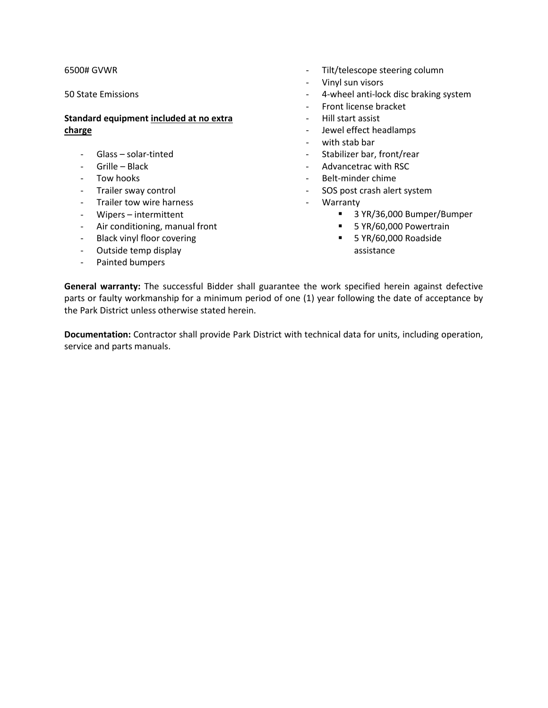#### 6500# GVWR

50 State Emissions

# **Standard equipment included at no extra charge**

- Glass solar-tinted
- Grille Black
- Tow hooks
- Trailer sway control
- Trailer tow wire harness
- Wipers intermittent
- Air conditioning, manual front
- Black vinyl floor covering
- Outside temp display
- Painted bumpers
- Tilt/telescope steering column
- Vinyl sun visors
- 4-wheel anti-lock disc braking system
- Front license bracket
- Hill start assist
- Jewel effect headlamps
- with stab bar
- Stabilizer bar, front/rear
- Advancetrac with RSC
- Belt-minder chime
- SOS post crash alert system
	- **Warranty** 
		- 3 YR/36,000 Bumper/Bumper
		- **5 YR/60,000 Powertrain**
		- 5 YR/60,000 Roadside assistance

**General warranty:** The successful Bidder shall guarantee the work specified herein against defective parts or faulty workmanship for a minimum period of one (1) year following the date of acceptance by the Park District unless otherwise stated herein.

**Documentation:** Contractor shall provide Park District with technical data for units, including operation, service and parts manuals.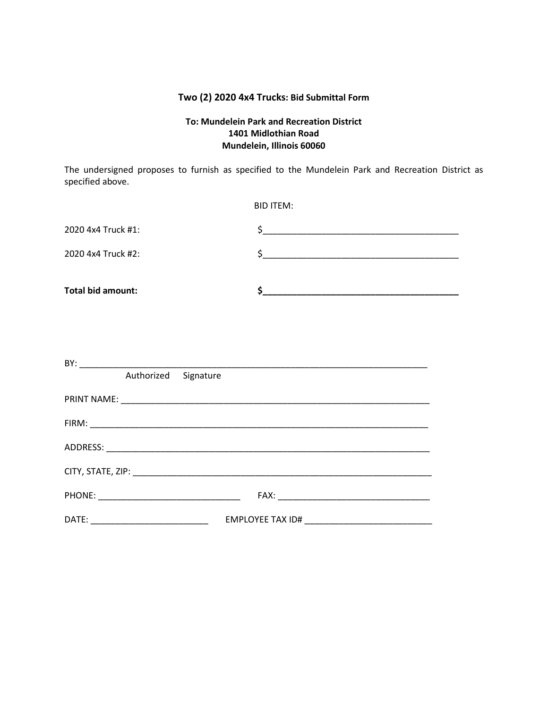# **Two (2) 2020 4x4 Trucks: Bid Submittal Form**

# **To: Mundelein Park and Recreation District 1401 Midlothian Road Mundelein, Illinois 60060**

The undersigned proposes to furnish as specified to the Mundelein Park and Recreation District as specified above.

|                          | <b>BID ITEM:</b> |
|--------------------------|------------------|
| 2020 4x4 Truck #1:       | $\frac{1}{2}$    |
| 2020 4x4 Truck #2:       | $\sim$           |
|                          |                  |
| <b>Total bid amount:</b> |                  |
|                          |                  |
|                          |                  |
|                          |                  |
| Authorized Signature     |                  |
|                          |                  |
|                          |                  |
|                          |                  |
|                          |                  |
|                          |                  |
|                          |                  |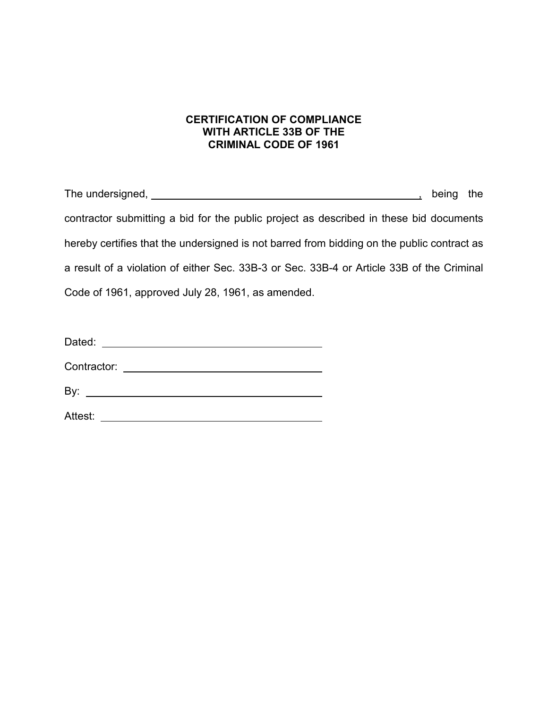# **CERTIFICATION OF COMPLIANCE WITH ARTICLE 33B OF THE CRIMINAL CODE OF 1961**

The undersigned, the undersigned, the state of the state of the state of the state of the state of the state of the state of the state of the state of the state of the state of the state of the state of the state of the st contractor submitting a bid for the public project as described in these bid documents hereby certifies that the undersigned is not barred from bidding on the public contract as a result of a violation of either Sec. 33B-3 or Sec. 33B-4 or Article 33B of the Criminal Code of 1961, approved July 28, 1961, as amended.

Contractor:

By:

Attest: